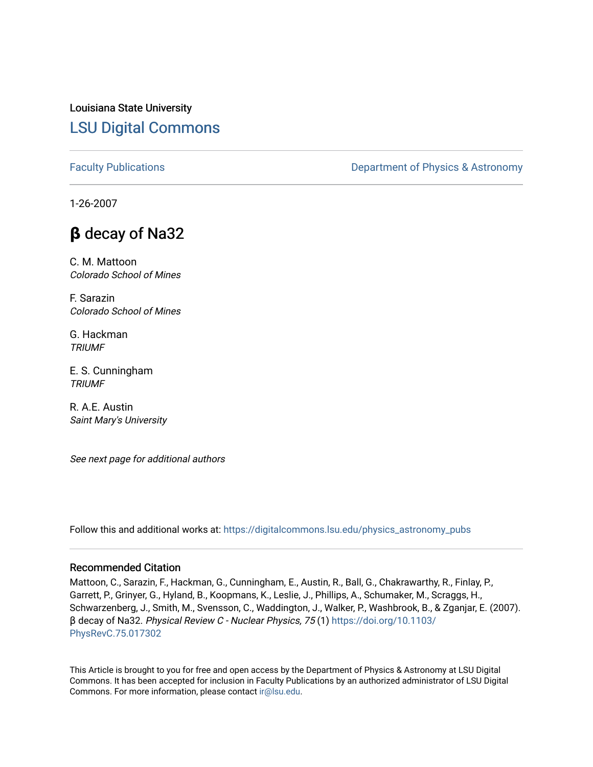Louisiana State University [LSU Digital Commons](https://digitalcommons.lsu.edu/)

[Faculty Publications](https://digitalcommons.lsu.edu/physics_astronomy_pubs) **Exercise 2 and Table 2 and Table 2 and Table 2 and Table 2 and Table 2 and Table 2 and Table 2 and Table 2 and Table 2 and Table 2 and Table 2 and Table 2 and Table 2 and Table 2 and Table 2 and Table** 

1-26-2007

## **β** decay of Na32

C. M. Mattoon Colorado School of Mines

F. Sarazin Colorado School of Mines

G. Hackman **TRIUMF** 

E. S. Cunningham **TRIUMF** 

R. A.E. Austin Saint Mary's University

See next page for additional authors

Follow this and additional works at: [https://digitalcommons.lsu.edu/physics\\_astronomy\\_pubs](https://digitalcommons.lsu.edu/physics_astronomy_pubs?utm_source=digitalcommons.lsu.edu%2Fphysics_astronomy_pubs%2F6119&utm_medium=PDF&utm_campaign=PDFCoverPages) 

## Recommended Citation

Mattoon, C., Sarazin, F., Hackman, G., Cunningham, E., Austin, R., Ball, G., Chakrawarthy, R., Finlay, P., Garrett, P., Grinyer, G., Hyland, B., Koopmans, K., Leslie, J., Phillips, A., Schumaker, M., Scraggs, H., Schwarzenberg, J., Smith, M., Svensson, C., Waddington, J., Walker, P., Washbrook, B., & Zganjar, E. (2007). β decay of Na32. Physical Review C - Nuclear Physics, 75 (1) [https://doi.org/10.1103/](https://doi.org/10.1103/PhysRevC.75.017302) [PhysRevC.75.017302](https://doi.org/10.1103/PhysRevC.75.017302) 

This Article is brought to you for free and open access by the Department of Physics & Astronomy at LSU Digital Commons. It has been accepted for inclusion in Faculty Publications by an authorized administrator of LSU Digital Commons. For more information, please contact [ir@lsu.edu](mailto:ir@lsu.edu).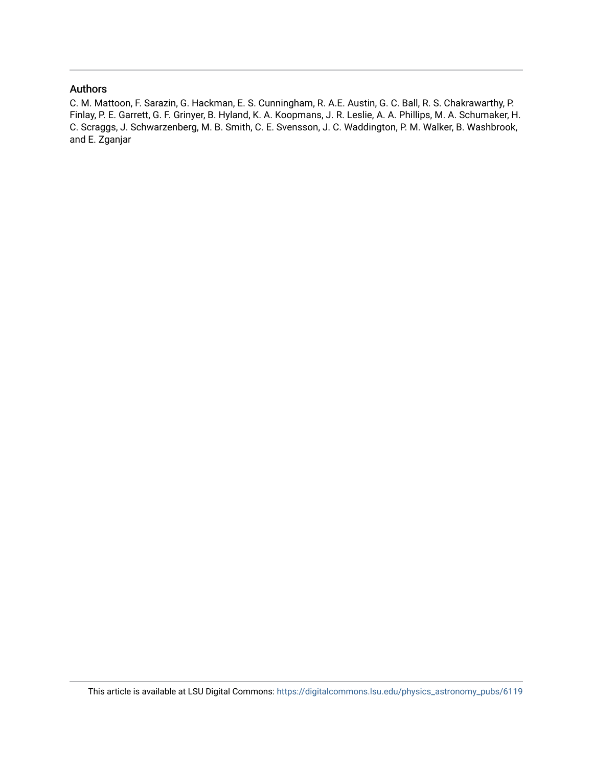## Authors

C. M. Mattoon, F. Sarazin, G. Hackman, E. S. Cunningham, R. A.E. Austin, G. C. Ball, R. S. Chakrawarthy, P. Finlay, P. E. Garrett, G. F. Grinyer, B. Hyland, K. A. Koopmans, J. R. Leslie, A. A. Phillips, M. A. Schumaker, H. C. Scraggs, J. Schwarzenberg, M. B. Smith, C. E. Svensson, J. C. Waddington, P. M. Walker, B. Washbrook, and E. Zganjar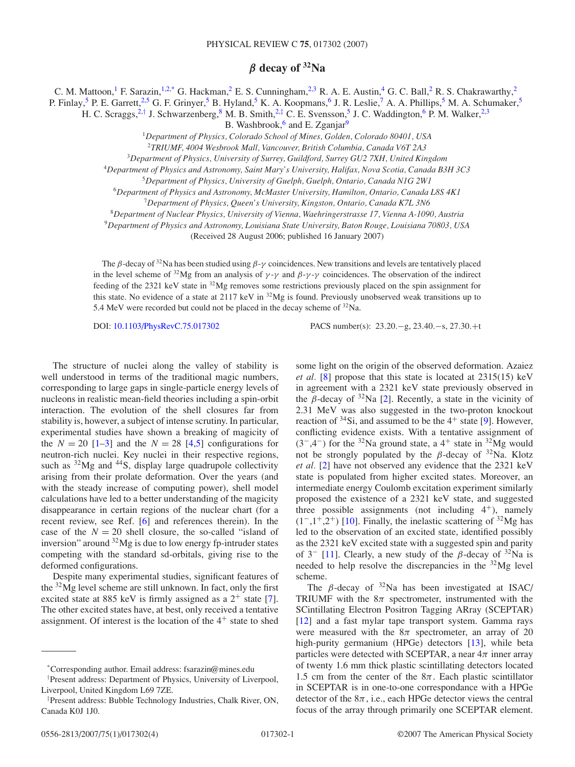## *β* **decay of 32Na**

C. M. Mattoon,<sup>1</sup> F. Sarazin,<sup>1,2,\*</sup> G. Hackman,<sup>2</sup> E. S. Cunningham,<sup>2,3</sup> R. A. E. Austin,<sup>4</sup> G. C. Ball,<sup>2</sup> R. S. Chakrawarthy,<sup>2</sup>

P. Finlay,<sup>5</sup> P. E. Garrett,<sup>2,5</sup> G. F. Grinyer,<sup>5</sup> B. Hyland,<sup>5</sup> K. A. Koopmans,<sup>6</sup> J. R. Leslie,<sup>7</sup> A. A. Phillips,<sup>5</sup> M. A. Schumaker,<sup>5</sup>

H. C. Scraggs,<sup>2,†</sup> J. Schwarzenberg,  $8$  M. B. Smith,<sup>2,‡</sup> C. E. Svensson,<sup>5</sup> J. C. Waddington, <sup>6</sup> P. M. Walker,<sup>2,3</sup>

B. Washbrook, $6$  and E. Zganjar $9$ 

<sup>1</sup>*Department of Physics, Colorado School of Mines, Golden, Colorado 80401, USA*

<sup>2</sup>*TRIUMF, 4004 Wesbrook Mall, Vancouver, British Columbia, Canada V6T 2A3*

<sup>3</sup>*Department of Physics, University of Surrey, Guildford, Surrey GU2 7XH, United Kingdom*

<sup>4</sup>*Department of Physics and Astronomy, Saint Mary's University, Halifax, Nova Scotia, Canada B3H 3C3*

<sup>5</sup>*Department of Physics, University of Guelph, Guelph, Ontario, Canada N1G 2W1*

<sup>6</sup>*Department of Physics and Astronomy, McMaster University, Hamilton, Ontario, Canada L8S 4K1*

<sup>7</sup>*Department of Physics, Queen's University, Kingston, Ontario, Canada K7L 3N6*

<sup>8</sup>*Department of Nuclear Physics, University of Vienna, Waehringerstrasse 17, Vienna A-1090, Austria*

<sup>9</sup>*Department of Physics and Astronomy, Louisiana State University, Baton Rouge, Louisiana 70803, USA*

(Received 28 August 2006; published 16 January 2007)

The *β*-decay of 32Na has been studied using *β*-*γ* coincidences. New transitions and levels are tentatively placed in the level scheme of <sup>32</sup>Mg from an analysis of  $\gamma$ - $\gamma$  and  $\beta$ - $\gamma$ - $\gamma$  coincidences. The observation of the indirect feeding of the 2321 keV state in 32Mg removes some restrictions previously placed on the spin assignment for this state. No evidence of a state at 2117 keV in <sup>32</sup>Mg is found. Previously unobserved weak transitions up to 5.4 MeV were recorded but could not be placed in the decay scheme of <sup>32</sup>Na.

DOI: [10.1103/PhysRevC.75.017302](http://dx.doi.org/10.1103/PhysRevC.75.017302) PACS number(s): 23*.*20*.*−g, 23*.*40*.*−s, 27*.*30*.*+t

The structure of nuclei along the valley of stability is well understood in terms of the traditional magic numbers, corresponding to large gaps in single-particle energy levels of nucleons in realistic mean-field theories including a spin-orbit interaction. The evolution of the shell closures far from stability is, however, a subject of intense scrutiny. In particular, experimental studies have shown a breaking of magicity of the  $N = 20$  [\[1–3\]](#page-5-0) and the  $N = 28$  [\[4,5\]](#page-5-0) configurations for neutron-rich nuclei. Key nuclei in their respective regions, such as  ${}^{32}Mg$  and  ${}^{44}S$ , display large quadrupole collectivity arising from their prolate deformation. Over the years (and with the steady increase of computing power), shell model calculations have led to a better understanding of the magicity disappearance in certain regions of the nuclear chart (for a recent review, see Ref. [\[6\]](#page-5-0) and references therein). In the case of the  $N = 20$  shell closure, the so-called "island of inversion" around  $32Mg$  is due to low energy fp-intruder states competing with the standard sd-orbitals, giving rise to the deformed configurations.

Despite many experimental studies, significant features of the  $32\text{Mg}$  level scheme are still unknown. In fact, only the first excited state at 885 keV is firmly assigned as a  $2^+$  state [\[7\]](#page-5-0). The other excited states have, at best, only received a tentative assignment. Of interest is the location of the  $4<sup>+</sup>$  state to shed

some light on the origin of the observed deformation. Azaiez *et al.* [\[8\]](#page-5-0) propose that this state is located at 2315(15) keV in agreement with a 2321 keV state previously observed in the *β*-decay of <sup>32</sup>Na [\[2\]](#page-5-0). Recently, a state in the vicinity of 2.31 MeV was also suggested in the two-proton knockout reaction of  $34\text{Si}$ , and assumed to be the  $4^+$  state [\[9\]](#page-5-0). However, conflicting evidence exists. With a tentative assignment of  $(3^-,4^-)$  for the <sup>32</sup>Na ground state, a 4<sup>+</sup> state in <sup>32</sup>Mg would not be strongly populated by the  $\beta$ -decay of <sup>32</sup>Na. Klotz *et al.* [\[2\]](#page-5-0) have not observed any evidence that the 2321 keV state is populated from higher excited states. Moreover, an intermediate energy Coulomb excitation experiment similarly proposed the existence of a 2321 keV state, and suggested three possible assignments (not including  $4^+$ ), namely  $(1^-,1^+,2^+)$  [\[10\]](#page-5-0). Finally, the inelastic scattering of <sup>32</sup>Mg has led to the observation of an excited state, identified possibly as the 2321 keV excited state with a suggested spin and parity of  $3^{\text{-}}$  [\[11\]](#page-5-0). Clearly, a new study of the *β*-decay of  $3^{\text{-}}$ Na is needed to help resolve the discrepancies in the 32Mg level scheme.

The *β*-decay of  $32$ Na has been investigated at ISAC/ TRIUMF with the  $8\pi$  spectrometer, instrumented with the SCintillating Electron Positron Tagging ARray (SCEPTAR) [\[12\]](#page-5-0) and a fast mylar tape transport system. Gamma rays were measured with the  $8\pi$  spectrometer, an array of 20 high-purity germanium (HPGe) detectors [\[13\]](#page-5-0), while beta particles were detected with SCEPTAR, a near  $4\pi$  inner array of twenty 1.6 mm thick plastic scintillating detectors located 1.5 cm from the center of the  $8\pi$ . Each plastic scintillator in SCEPTAR is in one-to-one correspondance with a HPGe detector of the  $8\pi$ , i.e., each HPGe detector views the central focus of the array through primarily one SCEPTAR element.

<sup>\*</sup>Corresponding author. Email address: fsarazin@mines.edu

<sup>†</sup> Present address: Department of Physics, University of Liverpool, Liverpool, United Kingdom L69 7ZE.

<sup>‡</sup> Present address: Bubble Technology Industries, Chalk River, ON, Canada K0J 1J0.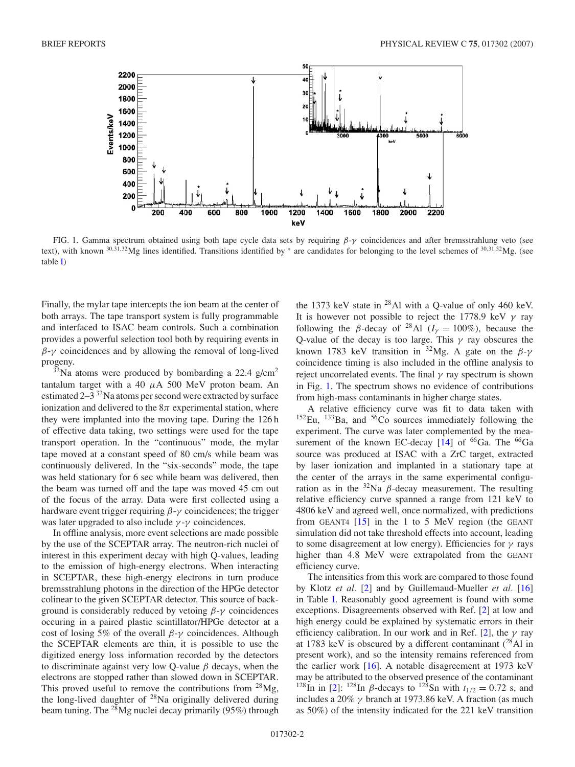<span id="page-3-0"></span>

FIG. 1. Gamma spectrum obtained using both tape cycle data sets by requiring *β*-*γ* coincidences and after bremsstrahlung veto (see text), with known <sup>30</sup>*,*31*,*32Mg lines identified. Transitions identified by <sup>∗</sup> are candidates for belonging to the level schemes of <sup>30</sup>*,*31*,*32Mg. (see table [I\)](#page-4-0)

Finally, the mylar tape intercepts the ion beam at the center of both arrays. The tape transport system is fully programmable and interfaced to ISAC beam controls. Such a combination provides a powerful selection tool both by requiring events in *β*-*γ* coincidences and by allowing the removal of long-lived progeny.

 $32$ Na atoms were produced by bombarding a 22.4 g/cm<sup>2</sup> tantalum target with a 40 *µ*A 500 MeV proton beam. An estimated  $2-3^{32}$ Na atoms per second were extracted by surface ionization and delivered to the  $8\pi$  experimental station, where they were implanted into the moving tape. During the 126 h of effective data taking, two settings were used for the tape transport operation. In the "continuous" mode, the mylar tape moved at a constant speed of 80 cm/s while beam was continuously delivered. In the "six-seconds" mode, the tape was held stationary for 6 sec while beam was delivered, then the beam was turned off and the tape was moved 45 cm out of the focus of the array. Data were first collected using a hardware event trigger requiring *β*-*γ* coincidences; the trigger was later upgraded to also include *γ* -*γ* coincidences.

In offline analysis, more event selections are made possible by the use of the SCEPTAR array. The neutron-rich nuclei of interest in this experiment decay with high Q-values, leading to the emission of high-energy electrons. When interacting in SCEPTAR, these high-energy electrons in turn produce bremsstrahlung photons in the direction of the HPGe detector colinear to the given SCEPTAR detector. This source of background is considerably reduced by vetoing *β*-*γ* coincidences occuring in a paired plastic scintillator/HPGe detector at a cost of losing 5% of the overall *β*-*γ* coincidences. Although the SCEPTAR elements are thin, it is possible to use the digitized energy loss information recorded by the detectors to discriminate against very low Q-value *β* decays, when the electrons are stopped rather than slowed down in SCEPTAR. This proved useful to remove the contributions from  $^{28}Mg$ , the long-lived daughter of 28Na originally delivered during beam tuning. The  $^{28}Mg$  nuclei decay primarily (95%) through

the 1373 keV state in  $^{28}$ Al with a Q-value of only 460 keV. It is however not possible to reject the 1778.9 keV *γ* ray following the *β*-decay of <sup>28</sup>Al ( $I<sub>y</sub> = 100\%$ ), because the Q-value of the decay is too large. This *γ* ray obscures the known 1783 keV transition in <sup>32</sup>Mg. A gate on the  $\beta-\gamma$ coincidence timing is also included in the offline analysis to reject uncorrelated events. The final *γ* ray spectrum is shown in Fig. 1. The spectrum shows no evidence of contributions from high-mass contaminants in higher charge states.

A relative efficiency curve was fit to data taken with  $152$ Eu,  $133$ Ba, and  $56$ Co sources immediately following the experiment. The curve was later complemented by the measurement of the known EC-decay  $[14]$  of <sup>66</sup>Ga. The <sup>66</sup>Ga source was produced at ISAC with a ZrC target, extracted by laser ionization and implanted in a stationary tape at the center of the arrays in the same experimental configuration as in the  $32$ Na  $\beta$ -decay measurement. The resulting relative efficiency curve spanned a range from 121 keV to 4806 keV and agreed well, once normalized, with predictions from GEANT4  $[15]$  in the 1 to 5 MeV region (the GEANT simulation did not take threshold effects into account, leading to some disagreement at low energy). Efficiencies for *γ* rays higher than 4.8 MeV were extrapolated from the GEANT efficiency curve.

The intensities from this work are compared to those found by Klotz *et al.* [\[2\]](#page-5-0) and by Guillemaud-Mueller *et al.* [\[16\]](#page-5-0) in Table [I.](#page-4-0) Reasonably good agreement is found with some exceptions. Disagreements observed with Ref. [\[2\]](#page-5-0) at low and high energy could be explained by systematic errors in their efficiency calibration. In our work and in Ref. [\[2\]](#page-5-0), the *γ* ray at 1783 keV is obscured by a different contaminant  $(^{28}$ Al in present work), and so the intensity remains referenced from the earlier work [\[16\]](#page-5-0). A notable disagreement at 1973 keV may be attributed to the observed presence of the contaminant <sup>128</sup>In in [\[2\]](#page-5-0): <sup>128</sup>In *β*-decays to <sup>128</sup>Sn with  $t_{1/2} = 0.72$  s, and includes a 20% *γ* branch at 1973.86 keV. A fraction (as much as 50%) of the intensity indicated for the 221 keV transition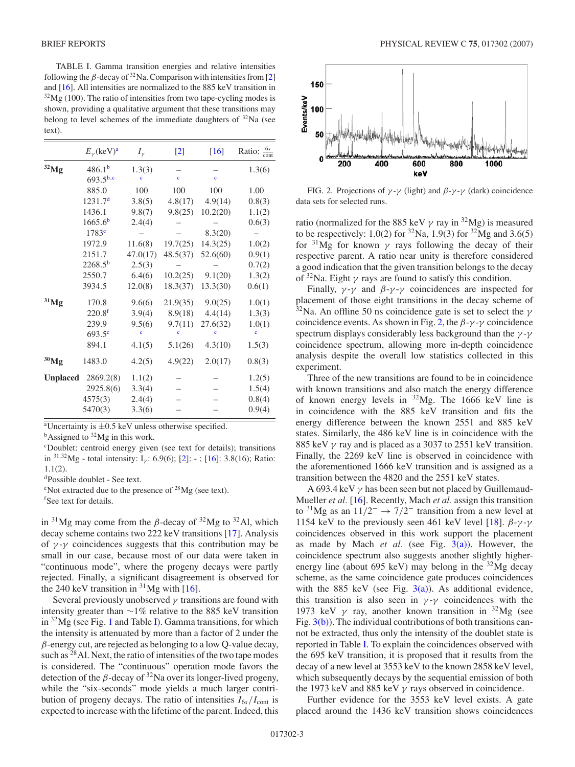<span id="page-4-0"></span>TABLE I. Gamma transition energies and relative intensities following the  $\beta$ -decay of <sup>32</sup>Na. Comparison with intensities from [\[2\]](#page-5-0) and [\[16\]](#page-5-0). All intensities are normalized to the 885 keV transition in  $32\text{Mg}$  (100). The ratio of intensities from two tape-cycling modes is shown, providing a qualitative argument that these transitions may belong to level schemes of the immediate daughters of  $32$ Na (see text).

|                 | $E_{\nu}$ (keV) <sup>a</sup> | $I_{\gamma}$ | $[2]$               | $[16]$       | Ratio: $\frac{6s}{\text{cont}}$ |
|-----------------|------------------------------|--------------|---------------------|--------------|---------------------------------|
| $32$ Mg         | 486.1 <sup>b</sup>           | 1.3(3)       |                     |              | 1.3(6)                          |
|                 | $693.5^{b,c}$                | Ċ            | $\ddot{\textbf{c}}$ | $\mathbf{c}$ |                                 |
|                 | 885.0                        | 100          | 100                 | 100          | 1.00                            |
|                 | 1231.7 <sup>d</sup>          | 3.8(5)       | 4.8(17)             | 4.9(14)      | 0.8(3)                          |
|                 | 1436.1                       | 9.8(7)       | 9.8(25)             | 10.2(20)     | 1.1(2)                          |
|                 | 1665.6 <sup>b</sup>          | 2.4(4)       |                     |              | 0.6(3)                          |
|                 | 1783 <sup>e</sup>            |              |                     | 8.3(20)      |                                 |
|                 | 1972.9                       | 11.6(8)      | 19.7(25)            | 14.3(25)     | 1.0(2)                          |
|                 | 2151.7                       | 47.0(17)     | 48.5(37)            | 52.6(60)     | 0.9(1)                          |
|                 | $2268.5^{b}$                 | 2.5(3)       |                     |              | 0.7(2)                          |
|                 | 2550.7                       | 6.4(6)       | 10.2(25)            | 9.1(20)      | 1.3(2)                          |
|                 | 3934.5                       | 12.0(8)      | 18.3(37)            | 13.3(30)     | 0.6(1)                          |
| $31$ Mg         | 170.8                        | 9.6(6)       | 21.9(35)            | 9.0(25)      | 1.0(1)                          |
|                 | 220.8 <sup>f</sup>           | 3.9(4)       | 8.9(18)             | 4.4(14)      | 1.3(3)                          |
|                 | 239.9                        | 9.5(6)       | 9.7(11)             | 27.6(32)     | 1.0(1)                          |
|                 | $693.5^{\circ}$              | c            |                     |              | ċ                               |
|                 | 894.1                        | 4.1(5)       | 5.1(26)             | 4.3(10)      | 1.5(3)                          |
| $30$ Mg         | 1483.0                       | 4.2(5)       | 4.9(22)             | 2.0(17)      | 0.8(3)                          |
| <b>Unplaced</b> | 2869.2(8)                    | 1.1(2)       |                     |              | 1.2(5)                          |
|                 | 2925.8(6)                    | 3.3(4)       |                     |              | 1.5(4)                          |
|                 | 4575(3)                      | 2.4(4)       |                     |              | 0.8(4)                          |
|                 | 5470(3)                      | 3.3(6)       |                     |              | 0.9(4)                          |

<sup>a</sup>Uncertainty is  $\pm 0.5$  keV unless otherwise specified.<br><sup>b</sup>Assigned to <sup>32</sup>Mg in this work.

c Doublet: centroid energy given (see text for details); transitions in <sup>31,32</sup>Mg - total intensity: I<sub>*γ*</sub>: 6.9(6); [\[2\]](#page-5-0): -; [\[16\]](#page-5-0): 3.8(16); Ratio: 1.1(2).

dPossible doublet - See text.

<sup>e</sup>Not extracted due to the presence of  $^{28}Mg$  (see text).

f See text for details.

in  $31$ Mg may come from the *β*-decay of  $32$ Mg to  $32$ Al, which decay scheme contains two 222 keV transitions [\[17\]](#page-5-0). Analysis of  $\gamma$ - $\gamma$  coincidences suggests that this contribution may be small in our case, because most of our data were taken in "continuous mode", where the progeny decays were partly rejected. Finally, a significant disagreement is observed for the 240 keV transition in  ${}^{31}Mg$  with [\[16\]](#page-5-0).

Several previously unobserved *γ* transitions are found with intensity greater than ∼1% relative to the 885 keV transition in  $32\text{Mg}$  (see Fig. [1](#page-3-0) and Table I). Gamma transitions, for which the intensity is attenuated by more than a factor of 2 under the *β*-energy cut, are rejected as belonging to a low Q-value decay, such as <sup>28</sup>Al. Next, the ratio of intensities of the two tape modes is considered. The "continuous" operation mode favors the detection of the  $\beta$ -decay of <sup>32</sup>Na over its longer-lived progeny, while the "six-seconds" mode yields a much larger contribution of progeny decays. The ratio of intensities  $I_{6s}/I_{\text{cont}}$  is expected to increase with the lifetime of the parent. Indeed, this



FIG. 2. Projections of  $\gamma$ - $\gamma$  (light) and  $\beta$ - $\gamma$ - $\gamma$  (dark) coincidence data sets for selected runs.

ratio (normalized for the 885 keV  $\gamma$  ray in <sup>32</sup>Mg) is measured to be respectively: 1.0(2) for  ${}^{32}Na$ , 1.9(3) for  ${}^{32}Mg$  and 3.6(5) for  $31\text{Mg}$  for known  $\gamma$  rays following the decay of their respective parent. A ratio near unity is therefore considered a good indication that the given transition belongs to the decay of 32Na. Eight *γ* rays are found to satisfy this condition.

Finally, *γ* -*γ* and *β*-*γ* -*γ* coincidences are inspected for placement of those eight transitions in the decay scheme of 32Na. An offline 50 ns coincidence gate is set to select the *γ* coincidence events. As shown in Fig. 2, the *β*-*γ* -*γ* coincidence spectrum displays considerably less background than the *γ* -*γ* coincidence spectrum, allowing more in-depth coincidence analysis despite the overall low statistics collected in this experiment.

Three of the new transitions are found to be in coincidence with known transitions and also match the energy difference of known energy levels in  $^{32}Mg$ . The 1666 keV line is in coincidence with the 885 keV transition and fits the energy difference between the known 2551 and 885 keV states. Similarly, the 486 keV line is in coincidence with the 885 keV *γ* ray and is placed as a 3037 to 2551 keV transition. Finally, the 2269 keV line is observed in coincidence with the aforementioned 1666 keV transition and is assigned as a transition between the 4820 and the 2551 keV states.

A 693.4 keV *γ* has been seen but not placed by Guillemaud-Mueller *et al.* [\[16\]](#page-5-0). Recently, Mach *et al.* assign this transition to 31Mg as an 11*/*2<sup>−</sup> <sup>→</sup> <sup>7</sup>*/*2<sup>−</sup> transition from a new level at 1154 keV to the previously seen 461 keV level [\[18\]](#page-5-0).  $\beta-\gamma-\gamma$ coincidences observed in this work support the placement as made by Mach *et al.* (see Fig.  $3(a)$ ). However, the coincidence spectrum also suggests another slightly higherenergy line (about 695 keV) may belong in the  $32\text{Mg}$  decay scheme, as the same coincidence gate produces coincidences with the 885 keV (see Fig.  $3(a)$ ). As additional evidence, this transition is also seen in  $\gamma$ - $\gamma$  coincidences with the 1973 keV  $\gamma$  ray, another known transition in <sup>32</sup>Mg (see Fig. [3\(b\)\)](#page-5-0). The individual contributions of both transitions cannot be extracted, thus only the intensity of the doublet state is reported in Table I. To explain the coincidences observed with the 695 keV transition, it is proposed that it results from the decay of a new level at 3553 keV to the known 2858 keV level, which subsequently decays by the sequential emission of both the 1973 keV and 885 keV *γ* rays observed in coincidence.

Further evidence for the 3553 keV level exists. A gate placed around the 1436 keV transition shows coincidences